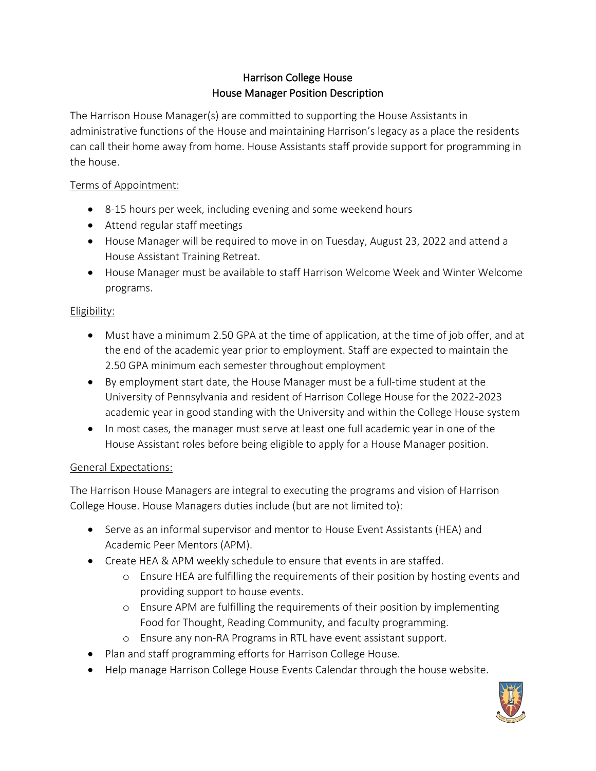# Harrison College House House Manager Position Description

The Harrison House Manager(s) are committed to supporting the House Assistants in administrative functions of the House and maintaining Harrison's legacy as a place the residents can call their home away from home. House Assistants staff provide support for programming in the house.

### Terms of Appointment:

- 8-15 hours per week, including evening and some weekend hours
- Attend regular staff meetings
- House Manager will be required to move in on Tuesday, August 23, 2022 and attend a House Assistant Training Retreat.
- House Manager must be available to staff Harrison Welcome Week and Winter Welcome programs.

# Eligibility:

- Must have a minimum 2.50 GPA at the time of application, at the time of job offer, and at the end of the academic year prior to employment. Staff are expected to maintain the 2.50 GPA minimum each semester throughout employment
- By employment start date, the House Manager must be a full-time student at the University of Pennsylvania and resident of Harrison College House for the 2022-2023 academic year in good standing with the University and within the College House system
- In most cases, the manager must serve at least one full academic year in one of the House Assistant roles before being eligible to apply for a House Manager position.

# General Expectations:

The Harrison House Managers are integral to executing the programs and vision of Harrison College House. House Managers duties include (but are not limited to):

- Serve as an informal supervisor and mentor to House Event Assistants (HEA) and Academic Peer Mentors (APM).
- Create HEA & APM weekly schedule to ensure that events in are staffed.
	- o Ensure HEA are fulfilling the requirements of their position by hosting events and providing support to house events.
	- o Ensure APM are fulfilling the requirements of their position by implementing Food for Thought, Reading Community, and faculty programming.
	- o Ensure any non-RA Programs in RTL have event assistant support.
- Plan and staff programming efforts for Harrison College House.
- Help manage Harrison College House Events Calendar through the house website.